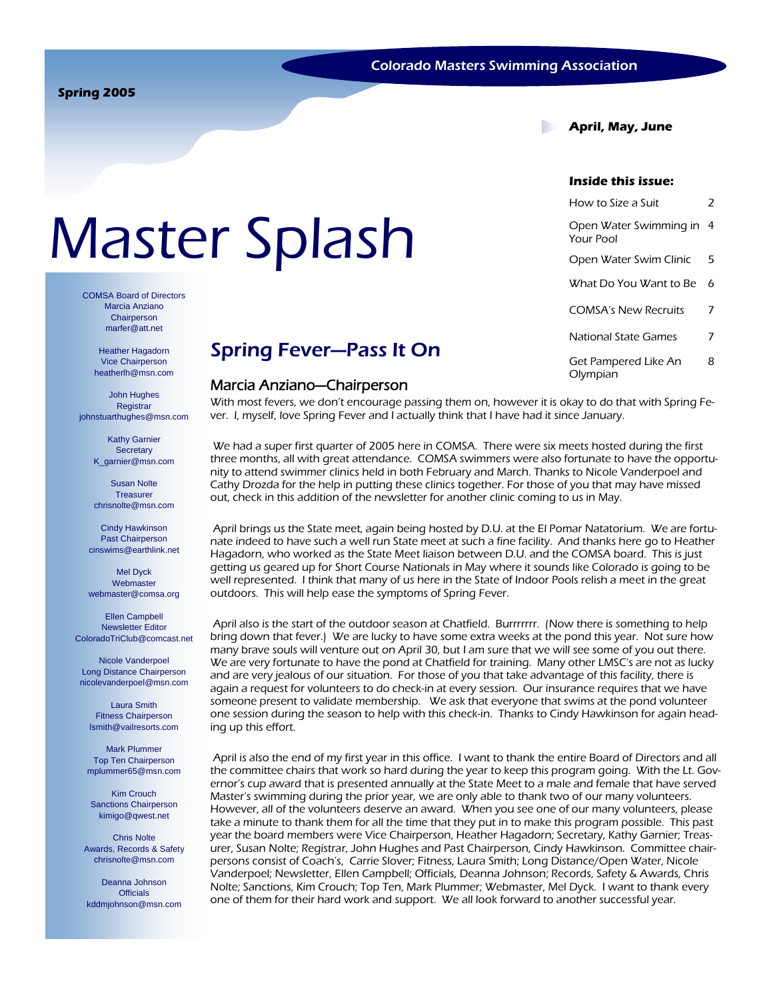**April, May, June** 

#### **Inside this issue:**

| How to Size a Suit                  | 2 |
|-------------------------------------|---|
| Open Water Swimming in<br>Your Pool | 4 |
| Open Water Swim Clinic              | 5 |
| What Do You Want to Be              | 6 |
| <b>COMSA's New Recruits</b>         | 7 |
| National State Games                | 7 |
| Get Pampered Like An<br>Olympian    | 8 |

# Master Splash

COMSA Board of Directors Marcia Anziano **Chairperson** marfer@att.net

> Heather Hagadorn Vice Chairperson heatherlh@msn.com

John Hughes **Registrar** johnstuarthughes@msn.com

> Kathy Garnier **Secretary** K\_garnier@msn.com

> Susan Nolte **Treasurer** chrisnolte@msn.com

Cindy Hawkinson Past Chairperson cinswims@earthlink.net

Mel Dyck Webmaster webmaster@comsa.org

Ellen Campbell Newsletter Editor ColoradoTriClub@comcast.net

Nicole Vanderpoel Long Distance Chairperson nicolevanderpoel@msn.com

Laura Smith Fitness Chairperson lsmith@vailresorts.com

Mark Plummer Top Ten Chairperson mplummer65@msn.com

Kim Crouch Sanctions Chairperson kimigo@qwest.net

Chris Nolte Awards, Records & Safety chrisnolte@msn.com

Deanna Johnson **Officials** kddmjohnson@msn.com

### Spring Fever—Pass It On

#### Marcia Anziano—Chairperson

With most fevers, we don't encourage passing them on, however it is okay to do that with Spring Fever. I, myself, love Spring Fever and I actually think that I have had it since January.

 We had a super first quarter of 2005 here in COMSA. There were six meets hosted during the first three months, all with great attendance. COMSA swimmers were also fortunate to have the opportunity to attend swimmer clinics held in both February and March. Thanks to Nicole Vanderpoel and Cathy Drozda for the help in putting these clinics together. For those of you that may have missed out, check in this addition of the newsletter for another clinic coming to us in May.

 April brings us the State meet, again being hosted by D.U. at the El Pomar Natatorium. We are fortunate indeed to have such a well run State meet at such a fine facility. And thanks here go to Heather Hagadorn, who worked as the State Meet liaison between D.U. and the COMSA board. This is just getting us geared up for Short Course Nationals in May where it sounds like Colorado is going to be well represented. I think that many of us here in the State of Indoor Pools relish a meet in the great outdoors. This will help ease the symptoms of Spring Fever.

 April also is the start of the outdoor season at Chatfield. Burrrrrrr. (Now there is something to help bring down that fever.) We are lucky to have some extra weeks at the pond this year. Not sure how many brave souls will venture out on April 30, but I am sure that we will see some of you out there. We are very fortunate to have the pond at Chatfield for training. Many other LMSC's are not as lucky and are very jealous of our situation. For those of you that take advantage of this facility, there is again a request for volunteers to do check-in at every session. Our insurance requires that we have someone present to validate membership. We ask that everyone that swims at the pond volunteer one session during the season to help with this check-in. Thanks to Cindy Hawkinson for again heading up this effort.

 April is also the end of my first year in this office. I want to thank the entire Board of Directors and all the committee chairs that work so hard during the year to keep this program going. With the Lt. Governor's cup award that is presented annually at the State Meet to a male and female that have served Master's swimming during the prior year, we are only able to thank two of our many volunteers. However, all of the volunteers deserve an award. When you see one of our many volunteers, please take a minute to thank them for all the time that they put in to make this program possible. This past year the board members were Vice Chairperson, Heather Hagadorn; Secretary, Kathy Garnier; Treasurer, Susan Nolte; Registrar, John Hughes and Past Chairperson, Cindy Hawkinson. Committee chairpersons consist of Coach's, Carrie Slover; Fitness, Laura Smith; Long Distance/Open Water, Nicole Vanderpoel; Newsletter, Ellen Campbell; Officials, Deanna Johnson; Records, Safety & Awards, Chris Nolte; Sanctions, Kim Crouch; Top Ten, Mark Plummer; Webmaster, Mel Dyck. I want to thank every one of them for their hard work and support. We all look forward to another successful year.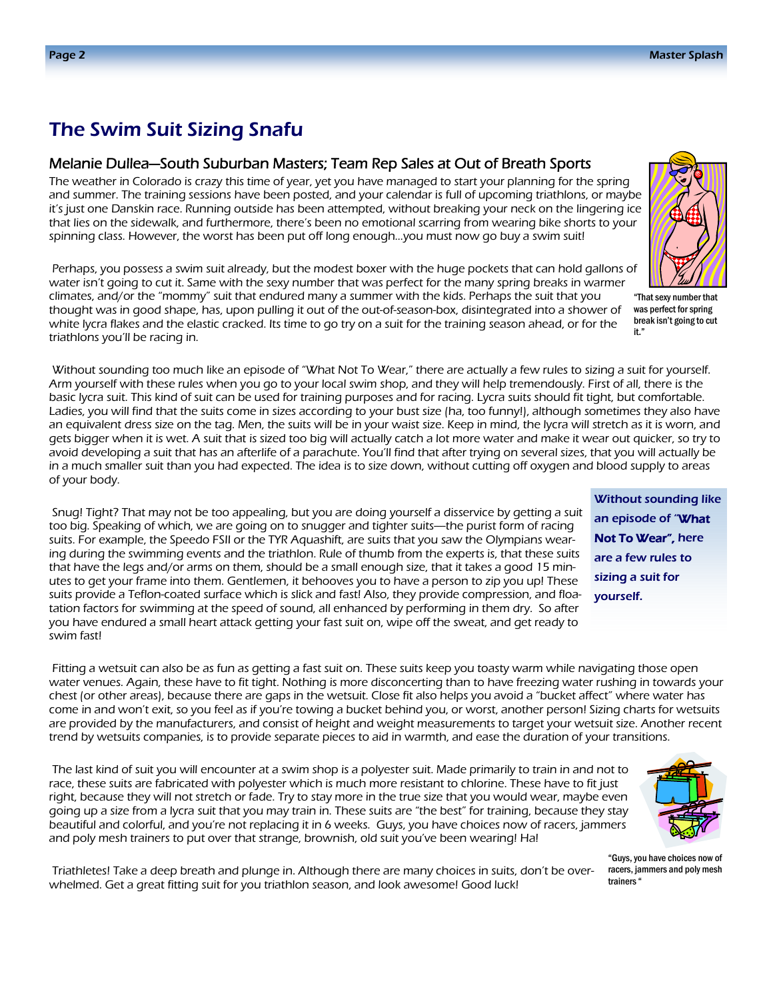### The Swim Suit Sizing Snafu

#### Melanie Dullea—South Suburban Masters; Team Rep Sales at Out of Breath Sports

The weather in Colorado is crazy this time of year, yet you have managed to start your planning for the spring and summer. The training sessions have been posted, and your calendar is full of upcoming triathlons, or maybe it's just one Danskin race. Running outside has been attempted, without breaking your neck on the lingering ice that lies on the sidewalk, and furthermore, there's been no emotional scarring from wearing bike shorts to your spinning class. However, the worst has been put off long enough…you must now go buy a swim suit!

 Perhaps, you possess a swim suit already, but the modest boxer with the huge pockets that can hold gallons of water isn't going to cut it. Same with the sexy number that was perfect for the many spring breaks in warmer climates, and/or the "mommy" suit that endured many a summer with the kids. Perhaps the suit that you thought was in good shape, has, upon pulling it out of the out-of-season-box, disintegrated into a shower of white lycra flakes and the elastic cracked. Its time to go try on a suit for the training season ahead, or for the triathlons you'll be racing in.

 Without sounding too much like an episode of "What Not To Wear," there are actually a few rules to sizing a suit for yourself. Arm yourself with these rules when you go to your local swim shop, and they will help tremendously. First of all, there is the basic lycra suit. This kind of suit can be used for training purposes and for racing. Lycra suits should fit tight, but comfortable. Ladies, you will find that the suits come in sizes according to your bust size (ha, too funny!), although sometimes they also have an equivalent dress size on the tag. Men, the suits will be in your waist size. Keep in mind, the lycra will stretch as it is worn, and gets bigger when it is wet. A suit that is sized too big will actually catch a lot more water and make it wear out quicker, so try to avoid developing a suit that has an afterlife of a parachute. You'll find that after trying on several sizes, that you will actually be in a much smaller suit than you had expected. The idea is to size down, without cutting off oxygen and blood supply to areas of your body.

 Snug! Tight? That may not be too appealing, but you are doing yourself a disservice by getting a suit too big. Speaking of which, we are going on to snugger and tighter suits—the purist form of racing suits. For example, the Speedo FSII or the TYR Aquashift, are suits that you saw the Olympians wearing during the swimming events and the triathlon. Rule of thumb from the experts is, that these suits that have the legs and/or arms on them, should be a small enough size, that it takes a good 15 minutes to get your frame into them. Gentlemen, it behooves you to have a person to zip you up! These suits provide a Teflon-coated surface which is slick and fast! Also, they provide compression, and floatation factors for swimming at the speed of sound, all enhanced by performing in them dry. So after you have endured a small heart attack getting your fast suit on, wipe off the sweat, and get ready to swim fast!

 Fitting a wetsuit can also be as fun as getting a fast suit on. These suits keep you toasty warm while navigating those open water venues. Again, these have to fit tight. Nothing is more disconcerting than to have freezing water rushing in towards your chest (or other areas), because there are gaps in the wetsuit. Close fit also helps you avoid a "bucket affect" where water has come in and won't exit, so you feel as if you're towing a bucket behind you, or worst, another person! Sizing charts for wetsuits are provided by the manufacturers, and consist of height and weight measurements to target your wetsuit size. Another recent trend by wetsuits companies, is to provide separate pieces to aid in warmth, and ease the duration of your transitions.

 The last kind of suit you will encounter at a swim shop is a polyester suit. Made primarily to train in and not to race, these suits are fabricated with polyester which is much more resistant to chlorine. These have to fit just right, because they will not stretch or fade. Try to stay more in the true size that you would wear, maybe even going up a size from a lycra suit that you may train in. These suits are "the best" for training, because they stay beautiful and colorful, and you're not replacing it in 6 weeks. Guys, you have choices now of racers, jammers and poly mesh trainers to put over that strange, brownish, old suit you've been wearing! Ha!



"Guys, you have choices now of racers, jammers and poly mesh trainers "

 Triathletes! Take a deep breath and plunge in. Although there are many choices in suits, don't be overwhelmed. Get a great fitting suit for you triathlon season, and look awesome! Good luck!



"That sexy number that was perfect for spring break isn't going to cut it."

Without sounding like an episode of "What Not To Wear", here are a few rules to sizing a suit for

yourself.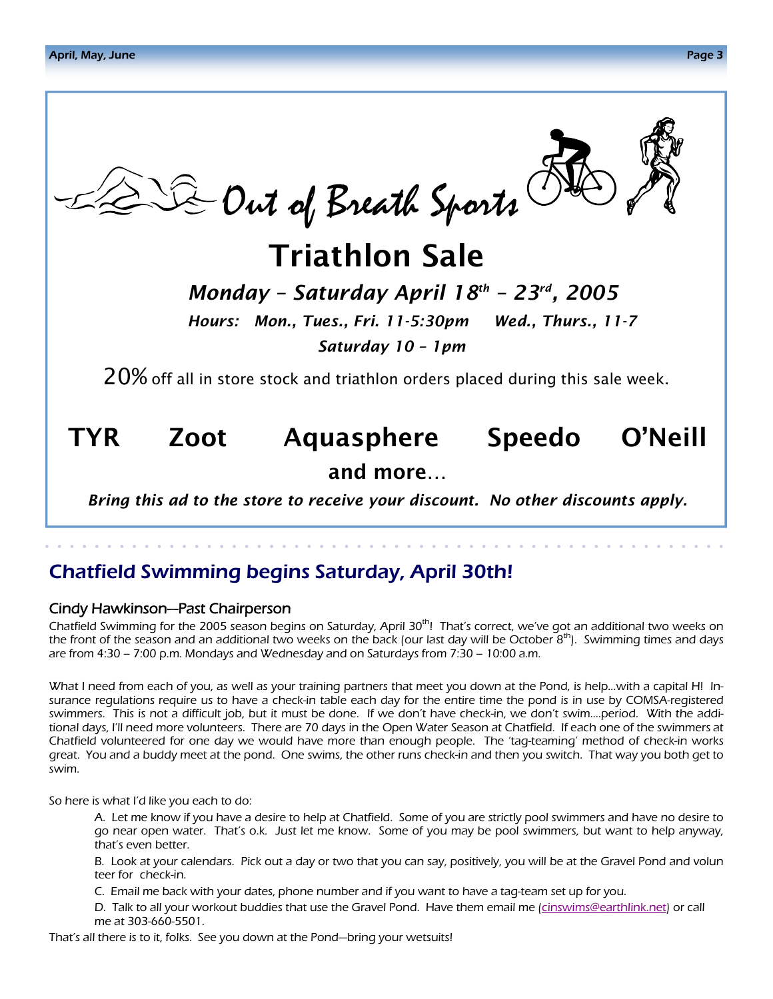

Chatfield Swimming begins Saturday, April 30th!

### Cindy Hawkinson—Past Chairperson

Chatfield Swimming for the 2005 season begins on Saturday, April  $30<sup>th</sup>$ ! That's correct, we've got an additional two weeks on the front of the season and an additional two weeks on the back (our last day will be October  $8<sup>th</sup>$ ). Swimming times and days are from 4:30 – 7:00 p.m. Mondays and Wednesday and on Saturdays from 7:30 – 10:00 a.m.

What I need from each of you, as well as your training partners that meet you down at the Pond, is help…with a capital H! Insurance regulations require us to have a check-in table each day for the entire time the pond is in use by COMSA-registered swimmers. This is not a difficult job, but it must be done. If we don't have check-in, we don't swim….period. With the additional days, I'll need more volunteers. There are 70 days in the Open Water Season at Chatfield. If each one of the swimmers at Chatfield volunteered for one day we would have more than enough people. The 'tag-teaming' method of check-in works great. You and a buddy meet at the pond. One swims, the other runs check-in and then you switch. That way you both get to swim.

So here is what I'd like you each to do:

 A. Let me know if you have a desire to help at Chatfield. Some of you are strictly pool swimmers and have no desire to go near open water. That's o.k. Just let me know. Some of you may be pool swimmers, but want to help anyway, that's even better.

 B. Look at your calendars. Pick out a day or two that you can say, positively, you will be at the Gravel Pond and volun teer for check-in.

C. Email me back with your dates, phone number and if you want to have a tag-team set up for you.

 D. Talk to all your workout buddies that use the Gravel Pond. Have them email me (cinswims@earthlink.net) or call me at 303-660-5501.

That's all there is to it, folks. See you down at the Pond—bring your wetsuits!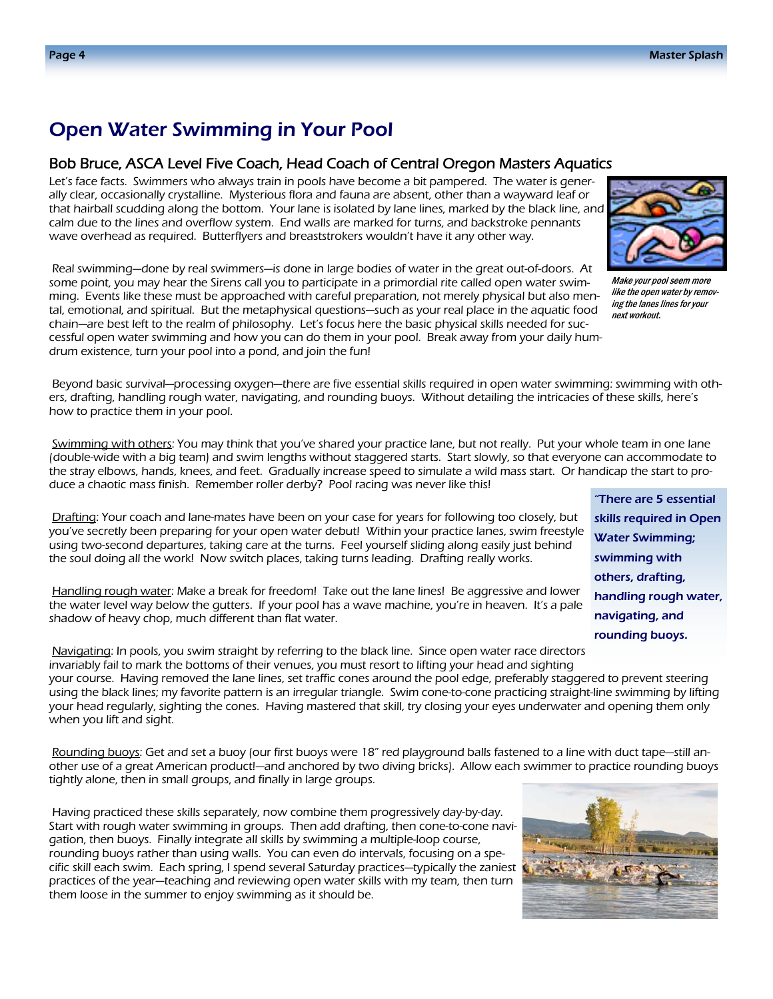### Open Water Swimming in Your Pool

#### Bob Bruce, ASCA Level Five Coach, Head Coach of Central Oregon Masters Aquatics

Let's face facts. Swimmers who always train in pools have become a bit pampered. The water is generally clear, occasionally crystalline. Mysterious flora and fauna are absent, other than a wayward leaf or that hairball scudding along the bottom. Your lane is isolated by lane lines, marked by the black line, and calm due to the lines and overflow system. End walls are marked for turns, and backstroke pennants wave overhead as required. Butterflyers and breaststrokers wouldn't have it any other way.

 Real swimming—done by real swimmers—is done in large bodies of water in the great out-of-doors. At some point, you may hear the Sirens call you to participate in a primordial rite called open water swimming. Events like these must be approached with careful preparation, not merely physical but also mental, emotional, and spiritual. But the metaphysical questions—such as your real place in the aquatic food chain—are best left to the realm of philosophy. Let's focus here the basic physical skills needed for successful open water swimming and how you can do them in your pool. Break away from your daily humdrum existence, turn your pool into a pond, and join the fun!



Make your pool seem more like the open water by removing the lanes lines for your next workout.

"There are 5 essential skills required in Open Water Swimming; swimming with others, drafting,

handling rough water,

navigating, and rounding buoys.

 Beyond basic survival—processing oxygen—there are five essential skills required in open water swimming: swimming with others, drafting, handling rough water, navigating, and rounding buoys. Without detailing the intricacies of these skills, here's how to practice them in your pool.

Swimming with others: You may think that you've shared your practice lane, but not really. Put your whole team in one lane (double-wide with a big team) and swim lengths without staggered starts. Start slowly, so that everyone can accommodate to the stray elbows, hands, knees, and feet. Gradually increase speed to simulate a wild mass start. Or handicap the start to produce a chaotic mass finish. Remember roller derby? Pool racing was never like this!

Drafting: Your coach and lane-mates have been on your case for years for following too closely, but you've secretly been preparing for your open water debut! Within your practice lanes, swim freestyle using two-second departures, taking care at the turns. Feel yourself sliding along easily just behind the soul doing all the work! Now switch places, taking turns leading. Drafting really works.

 Handling rough water: Make a break for freedom! Take out the lane lines! Be aggressive and lower the water level way below the gutters. If your pool has a wave machine, you're in heaven. It's a pale shadow of heavy chop, much different than flat water.

 Navigating: In pools, you swim straight by referring to the black line. Since open water race directors invariably fail to mark the bottoms of their venues, you must resort to lifting your head and sighting your course. Having removed the lane lines, set traffic cones around the pool edge, preferably staggered to prevent steering using the black lines; my favorite pattern is an irregular triangle. Swim cone-to-cone practicing straight-line swimming by lifting your head regularly, sighting the cones. Having mastered that skill, try closing your eyes underwater and opening them only when you lift and sight.

 Rounding buoys: Get and set a buoy (our first buoys were 18" red playground balls fastened to a line with duct tape—still another use of a great American product!—and anchored by two diving bricks). Allow each swimmer to practice rounding buoys tightly alone, then in small groups, and finally in large groups.

 Having practiced these skills separately, now combine them progressively day-by-day. Start with rough water swimming in groups. Then add drafting, then cone-to-cone navigation, then buoys. Finally integrate all skills by swimming a multiple-loop course, rounding buoys rather than using walls. You can even do intervals, focusing on a specific skill each swim. Each spring, I spend several Saturday practices—typically the zaniest practices of the year—teaching and reviewing open water skills with my team, then turn them loose in the summer to enjoy swimming as it should be.

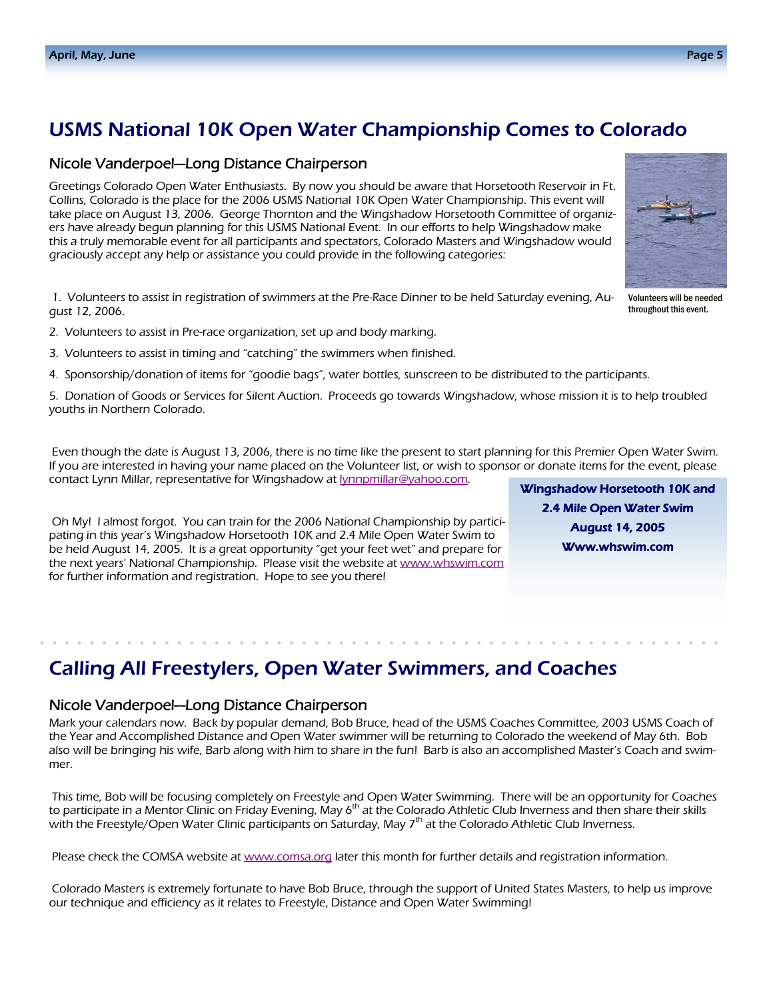## USMS National 10K Open Water Championship Comes to Colorado

### Nicole Vanderpoel—Long Distance Chairperson

Greetings Colorado Open Water Enthusiasts. By now you should be aware that Horsetooth Reservoir in Ft. Collins, Colorado is the place for the 2006 USMS National 10K Open Water Championship. This event will take place on August 13, 2006. George Thornton and the Wingshadow Horsetooth Committee of organizers have already begun planning for this USMS National Event. In our efforts to help Wingshadow make this a truly memorable event for all participants and spectators, Colorado Masters and Wingshadow would graciously accept any help or assistance you could provide in the following categories:

1. Volunteers to assist in registration of swimmers at the Pre-Race Dinner to be held Saturday evening, August 12, 2006.

- 2. Volunteers to assist in Pre-race organization, set up and body marking.
- 3. Volunteers to assist in timing and "catching" the swimmers when finished.
- 4. Sponsorship/donation of items for "goodie bags", water bottles, sunscreen to be distributed to the participants.

5. Donation of Goods or Services for Silent Auction. Proceeds go towards Wingshadow, whose mission it is to help troubled youths in Northern Colorado.

Even though the date is August 13, 2006, there is no time like the present to start planning for this Premier Open Water Swim. If you are interested in having your name placed on the Volunteer list, or wish to sponsor or donate items for the event, please contact Lynn Millar, representative for Wingshadow at **lynnpmillar@yahoo.com**.

Oh My! I almost forgot. You can train for the 2006 National Championship by participating in this year's Wingshadow Horsetooth 10K and 2.4 Mile Open Water Swim to be held August 14, 2005. It is a great opportunity "get your feet wet" and prepare for the next years' National Championship. Please visit the website at www.whswim.com for further information and registration. Hope to see you there!

Wingshadow Horsetooth 10K and 2.4 Mile Open Water Swim August 14, 2005 Www.whswim.com

### Calling All Freestylers, Open Water Swimmers, and Coaches

### Nicole Vanderpoel—Long Distance Chairperson

Mark your calendars now. Back by popular demand, Bob Bruce, head of the USMS Coaches Committee, 2003 USMS Coach of the Year and Accomplished Distance and Open Water swimmer will be returning to Colorado the weekend of May 6th. Bob also will be bringing his wife, Barb along with him to share in the fun! Barb is also an accomplished Master's Coach and swimmer.

This time, Bob will be focusing completely on Freestyle and Open Water Swimming. There will be an opportunity for Coaches to participate in a Mentor Clinic on Friday Evening, May 6<sup>th</sup> at the Colorado Athletic Club Inverness and then share their skills with the Freestyle/Open Water Clinic participants on Saturday, May 7<sup>th</sup> at the Colorado Athletic Club Inverness.

Please check the COMSA website at www.comsa.org later this month for further details and registration information.

Colorado Masters is extremely fortunate to have Bob Bruce, through the support of United States Masters, to help us improve our technique and efficiency as it relates to Freestyle, Distance and Open Water Swimming!



Volunteers will be needed throughout this event.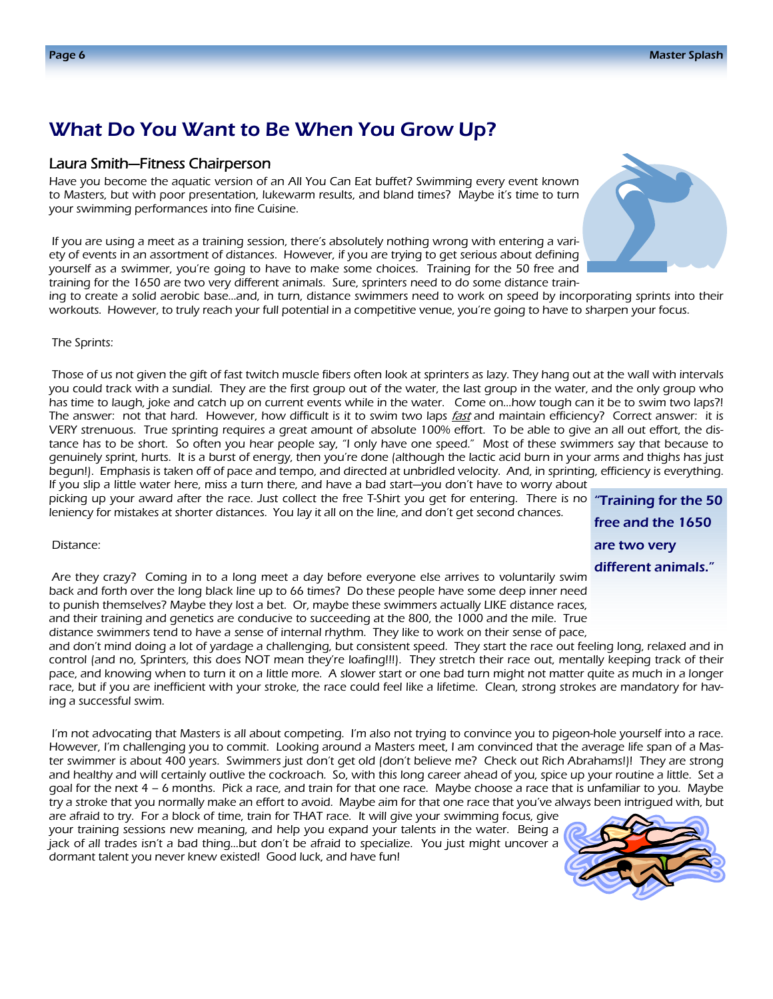### What Do You Want to Be When You Grow Up?

#### Laura Smith—Fitness Chairperson

Have you become the aquatic version of an All You Can Eat buffet? Swimming every event known to Masters, but with poor presentation, lukewarm results, and bland times? Maybe it's time to turn your swimming performances into fine Cuisine.

If you are using a meet as a training session, there's absolutely nothing wrong with entering a variety of events in an assortment of distances. However, if you are trying to get serious about defining yourself as a swimmer, you're going to have to make some choices. Training for the 50 free and training for the 1650 are two very different animals. Sure, sprinters need to do some distance train-



ing to create a solid aerobic base…and, in turn, distance swimmers need to work on speed by incorporating sprints into their workouts. However, to truly reach your full potential in a competitive venue, you're going to have to sharpen your focus.

#### The Sprints:

Those of us not given the gift of fast twitch muscle fibers often look at sprinters as lazy. They hang out at the wall with intervals you could track with a sundial. They are the first group out of the water, the last group in the water, and the only group who has time to laugh, joke and catch up on current events while in the water. Come on…how tough can it be to swim two laps?! The answer: not that hard. However, how difficult is it to swim two laps fast and maintain efficiency? Correct answer: it is VERY strenuous. True sprinting requires a great amount of absolute 100% effort. To be able to give an all out effort, the distance has to be short. So often you hear people say, "I only have one speed." Most of these swimmers say that because to genuinely sprint, hurts. It is a burst of energy, then you're done (although the lactic acid burn in your arms and thighs has just begun!). Emphasis is taken off of pace and tempo, and directed at unbridled velocity. And, in sprinting, efficiency is everything. If you slip a little water here, miss a turn there, and have a bad start—you don't have to worry about

picking up your award after the race. Just collect the free T-Shirt you get for entering. There is no **"Training for the 50** leniency for mistakes at shorter distances. You lay it all on the line, and don't get second chances.

free and the 1650 are two very different animals."

#### Distance:

Are they crazy? Coming in to a long meet a day before everyone else arrives to voluntarily swim back and forth over the long black line up to 66 times? Do these people have some deep inner need to punish themselves? Maybe they lost a bet. Or, maybe these swimmers actually LIKE distance races, and their training and genetics are conducive to succeeding at the 800, the 1000 and the mile. True distance swimmers tend to have a sense of internal rhythm. They like to work on their sense of pace,

and don't mind doing a lot of yardage a challenging, but consistent speed. They start the race out feeling long, relaxed and in control (and no, Sprinters, this does NOT mean they're loafing!!!). They stretch their race out, mentally keeping track of their pace, and knowing when to turn it on a little more. A slower start or one bad turn might not matter quite as much in a longer race, but if you are inefficient with your stroke, the race could feel like a lifetime. Clean, strong strokes are mandatory for having a successful swim.

I'm not advocating that Masters is all about competing. I'm also not trying to convince you to pigeon-hole yourself into a race. However, I'm challenging you to commit. Looking around a Masters meet, I am convinced that the average life span of a Master swimmer is about 400 years. Swimmers just don't get old (don't believe me? Check out Rich Abrahams!)! They are strong and healthy and will certainly outlive the cockroach. So, with this long career ahead of you, spice up your routine a little. Set a goal for the next 4 – 6 months. Pick a race, and train for that one race. Maybe choose a race that is unfamiliar to you. Maybe try a stroke that you normally make an effort to avoid. Maybe aim for that one race that you've always been intrigued with, but

are afraid to try. For a block of time, train for THAT race. It will give your swimming focus, give your training sessions new meaning, and help you expand your talents in the water. Being a jack of all trades isn't a bad thing…but don't be afraid to specialize. You just might uncover a dormant talent you never knew existed! Good luck, and have fun!

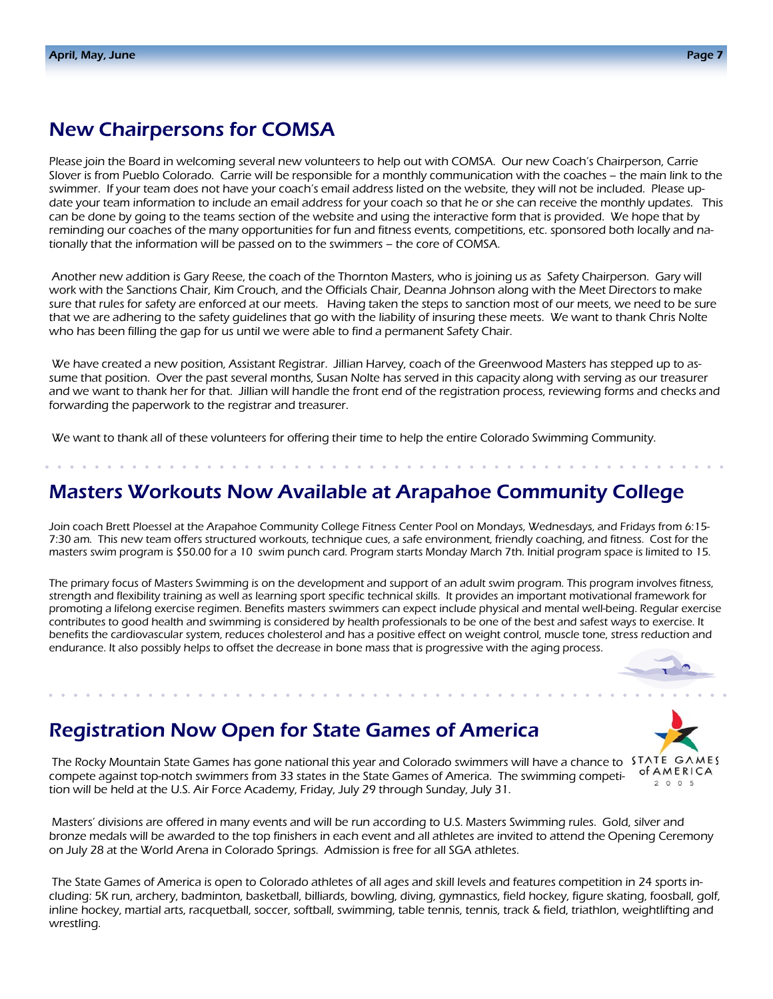### New Chairpersons for COMSA

Please join the Board in welcoming several new volunteers to help out with COMSA. Our new Coach's Chairperson, Carrie Slover is from Pueblo Colorado. Carrie will be responsible for a monthly communication with the coaches – the main link to the swimmer. If your team does not have your coach's email address listed on the website, they will not be included. Please update your team information to include an email address for your coach so that he or she can receive the monthly updates. This can be done by going to the teams section of the website and using the interactive form that is provided. We hope that by reminding our coaches of the many opportunities for fun and fitness events, competitions, etc. sponsored both locally and nationally that the information will be passed on to the swimmers – the core of COMSA.

Another new addition is Gary Reese, the coach of the Thornton Masters, who is joining us as Safety Chairperson. Gary will work with the Sanctions Chair, Kim Crouch, and the Officials Chair, Deanna Johnson along with the Meet Directors to make sure that rules for safety are enforced at our meets. Having taken the steps to sanction most of our meets, we need to be sure that we are adhering to the safety guidelines that go with the liability of insuring these meets. We want to thank Chris Nolte who has been filling the gap for us until we were able to find a permanent Safety Chair.

We have created a new position, Assistant Registrar. Jillian Harvey, coach of the Greenwood Masters has stepped up to assume that position. Over the past several months, Susan Nolte has served in this capacity along with serving as our treasurer and we want to thank her for that. Jillian will handle the front end of the registration process, reviewing forms and checks and forwarding the paperwork to the registrar and treasurer.

We want to thank all of these volunteers for offering their time to help the entire Colorado Swimming Community.

### Masters Workouts Now Available at Arapahoe Community College

Join coach Brett Ploessel at the Arapahoe Community College Fitness Center Pool on Mondays, Wednesdays, and Fridays from 6:15- 7:30 am. This new team offers structured workouts, technique cues, a safe environment, friendly coaching, and fitness. Cost for the masters swim program is \$50.00 for a 10 swim punch card. Program starts Monday March 7th. Initial program space is limited to 15.

The primary focus of Masters Swimming is on the development and support of an adult swim program. This program involves fitness, strength and flexibility training as well as learning sport specific technical skills. It provides an important motivational framework for promoting a lifelong exercise regimen. Benefits masters swimmers can expect include physical and mental well-being. Regular exercise contributes to good health and swimming is considered by health professionals to be one of the best and safest ways to exercise. It benefits the cardiovascular system, reduces cholesterol and has a positive effect on weight control, muscle tone, stress reduction and endurance. It also possibly helps to offset the decrease in bone mass that is progressive with the aging process.

### Registration Now Open for State Games of America

The Rocky Mountain State Games has gone national this year and Colorado swimmers will have a chance to STATE GAMES compete against top-notch swimmers from 33 states in the State Games of America. The swimming competition will be held at the U.S. Air Force Academy, Friday, July 29 through Sunday, July 31.

Masters' divisions are offered in many events and will be run according to U.S. Masters Swimming rules. Gold, silver and bronze medals will be awarded to the top finishers in each event and all athletes are invited to attend the Opening Ceremony on July 28 at the World Arena in Colorado Springs. Admission is free for all SGA athletes.

The State Games of America is open to Colorado athletes of all ages and skill levels and features competition in 24 sports including: 5K run, archery, badminton, basketball, billiards, bowling, diving, gymnastics, field hockey, figure skating, foosball, golf, inline hockey, martial arts, racquetball, soccer, softball, swimming, table tennis, tennis, track & field, triathlon, weightlifting and wrestling.

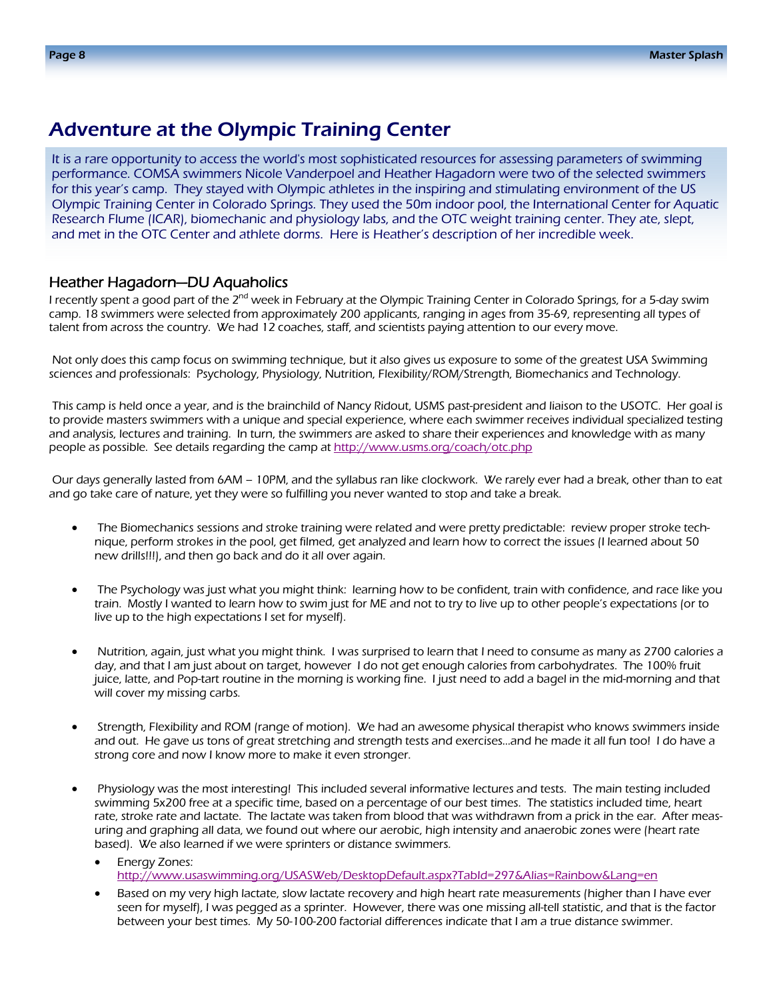### Adventure at the Olympic Training Center

It is a rare opportunity to access the world's most sophisticated resources for assessing parameters of swimming performance. COMSA swimmers Nicole Vanderpoel and Heather Hagadorn were two of the selected swimmers for this year's camp. They stayed with Olympic athletes in the inspiring and stimulating environment of the US Olympic Training Center in Colorado Springs. They used the 50m indoor pool, the International Center for Aquatic Research Flume (ICAR), biomechanic and physiology labs, and the OTC weight training center. They ate, slept, and met in the OTC Center and athlete dorms. Here is Heather's description of her incredible week.

#### Heather Hagadorn—DU Aquaholics

I recently spent a good part of the 2<sup>nd</sup> week in February at the Olympic Training Center in Colorado Springs, for a 5-day swim camp. 18 swimmers were selected from approximately 200 applicants, ranging in ages from 35-69, representing all types of talent from across the country. We had 12 coaches, staff, and scientists paying attention to our every move.

 Not only does this camp focus on swimming technique, but it also gives us exposure to some of the greatest USA Swimming sciences and professionals: Psychology, Physiology, Nutrition, Flexibility/ROM/Strength, Biomechanics and Technology.

 This camp is held once a year, and is the brainchild of Nancy Ridout, USMS past-president and liaison to the USOTC. Her goal is to provide masters swimmers with a unique and special experience, where each swimmer receives individual specialized testing and analysis, lectures and training. In turn, the swimmers are asked to share their experiences and knowledge with as many people as possible. See details regarding the camp at http://www.usms.org/coach/otc.php

 Our days generally lasted from 6AM – 10PM, and the syllabus ran like clockwork. We rarely ever had a break, other than to eat and go take care of nature, yet they were so fulfilling you never wanted to stop and take a break.

- The Biomechanics sessions and stroke training were related and were pretty predictable: review proper stroke technique, perform strokes in the pool, get filmed, get analyzed and learn how to correct the issues (I learned about 50 new drills!!!), and then go back and do it all over again.
- The Psychology was just what you might think: learning how to be confident, train with confidence, and race like you train. Mostly I wanted to learn how to swim just for ME and not to try to live up to other people's expectations (or to live up to the high expectations I set for myself).
- Nutrition, again, just what you might think. I was surprised to learn that I need to consume as many as 2700 calories a day, and that I am just about on target, however I do not get enough calories from carbohydrates. The 100% fruit juice, latte, and Pop-tart routine in the morning is working fine. I just need to add a bagel in the mid-morning and that will cover my missing carbs.
- Strength, Flexibility and ROM (range of motion). We had an awesome physical therapist who knows swimmers inside and out. He gave us tons of great stretching and strength tests and exercises…and he made it all fun too! I do have a strong core and now I know more to make it even stronger.
- Physiology was the most interesting! This included several informative lectures and tests. The main testing included swimming 5x200 free at a specific time, based on a percentage of our best times. The statistics included time, heart rate, stroke rate and lactate. The lactate was taken from blood that was withdrawn from a prick in the ear. After measuring and graphing all data, we found out where our aerobic, high intensity and anaerobic zones were (heart rate based). We also learned if we were sprinters or distance swimmers.
	- **Energy Zones:** http://www.usaswimming.org/USASWeb/DesktopDefault.aspx?TabId=297&Alias=Rainbow&Lang=en
	- Based on my very high lactate, slow lactate recovery and high heart rate measurements (higher than I have ever seen for myself), I was pegged as a sprinter. However, there was one missing all-tell statistic, and that is the factor between your best times. My 50-100-200 factorial differences indicate that I am a true distance swimmer.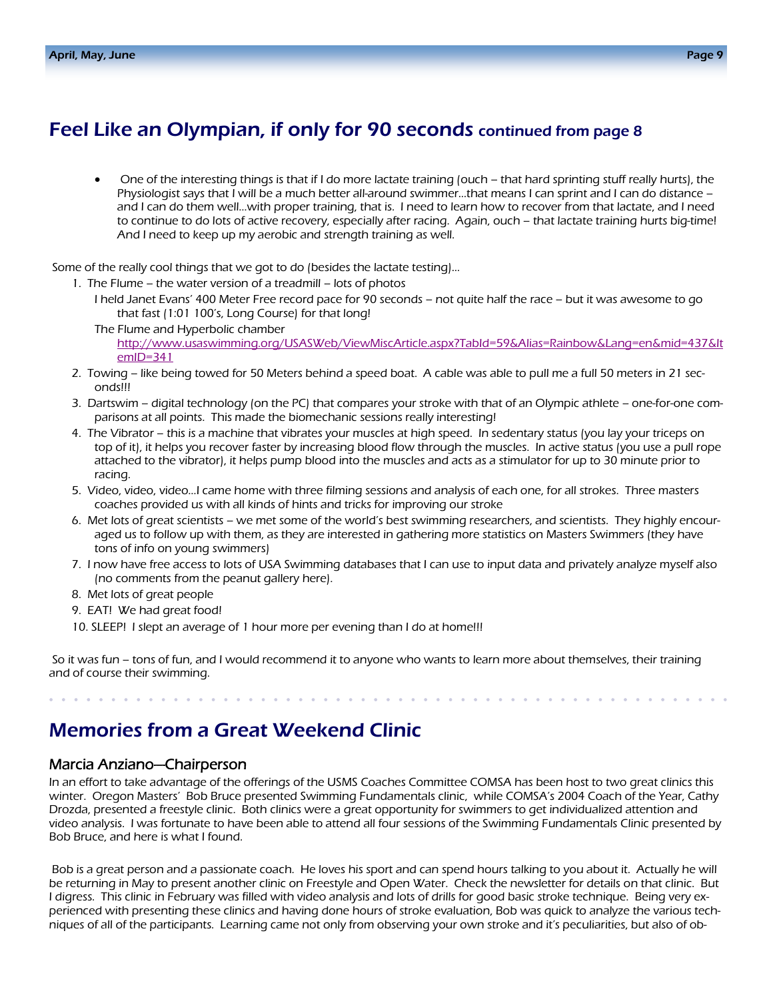### Feel Like an Olympian, if only for 90 seconds continued from page 8

• One of the interesting things is that if I do more lactate training (ouch – that hard sprinting stuff really hurts), the Physiologist says that I will be a much better all-around swimmer…that means I can sprint and I can do distance – and I can do them well…with proper training, that is. I need to learn how to recover from that lactate, and I need to continue to do lots of active recovery, especially after racing. Again, ouch – that lactate training hurts big-time! And I need to keep up my aerobic and strength training as well.

Some of the really cool things that we got to do (besides the lactate testing)…

- 1. The Flume the water version of a treadmill lots of photos
	- I held Janet Evans' 400 Meter Free record pace for 90 seconds not quite half the race but it was awesome to go that fast (1:01 100's, Long Course) for that long!
	- The Flume and Hyperbolic chamber http://www.usaswimming.org/USASWeb/ViewMiscArticle.aspx?TabId=59&Alias=Rainbow&Lang=en&mid=437&It emID=341
- 2. Towing like being towed for 50 Meters behind a speed boat. A cable was able to pull me a full 50 meters in 21 seconds!!!
- 3. Dartswim digital technology (on the PC) that compares your stroke with that of an Olympic athlete one-for-one comparisons at all points. This made the biomechanic sessions really interesting!
- 4. The Vibrator this is a machine that vibrates your muscles at high speed. In sedentary status (you lay your triceps on top of it), it helps you recover faster by increasing blood flow through the muscles. In active status (you use a pull rope attached to the vibrator), it helps pump blood into the muscles and acts as a stimulator for up to 30 minute prior to racing.
- 5. Video, video, video…I came home with three filming sessions and analysis of each one, for all strokes. Three masters coaches provided us with all kinds of hints and tricks for improving our stroke
- 6. Met lots of great scientists we met some of the world's best swimming researchers, and scientists. They highly encouraged us to follow up with them, as they are interested in gathering more statistics on Masters Swimmers (they have tons of info on young swimmers)
- 7. I now have free access to lots of USA Swimming databases that I can use to input data and privately analyze myself also (no comments from the peanut gallery here).
- 8. Met lots of great people
- 9. EAT! We had great food!
- 10. SLEEP! I slept an average of 1 hour more per evening than I do at home!!!

 So it was fun – tons of fun, and I would recommend it to anyone who wants to learn more about themselves, their training and of course their swimming.

### Memories from a Great Weekend Clinic

### Marcia Anziano—Chairperson

In an effort to take advantage of the offerings of the USMS Coaches Committee COMSA has been host to two great clinics this winter. Oregon Masters' Bob Bruce presented Swimming Fundamentals clinic, while COMSA's 2004 Coach of the Year, Cathy Drozda, presented a freestyle clinic. Both clinics were a great opportunity for swimmers to get individualized attention and video analysis. I was fortunate to have been able to attend all four sessions of the Swimming Fundamentals Clinic presented by Bob Bruce, and here is what I found.

Bob is a great person and a passionate coach. He loves his sport and can spend hours talking to you about it. Actually he will be returning in May to present another clinic on Freestyle and Open Water. Check the newsletter for details on that clinic. But I digress. This clinic in February was filled with video analysis and lots of drills for good basic stroke technique. Being very experienced with presenting these clinics and having done hours of stroke evaluation, Bob was quick to analyze the various techniques of all of the participants. Learning came not only from observing your own stroke and it's peculiarities, but also of ob-